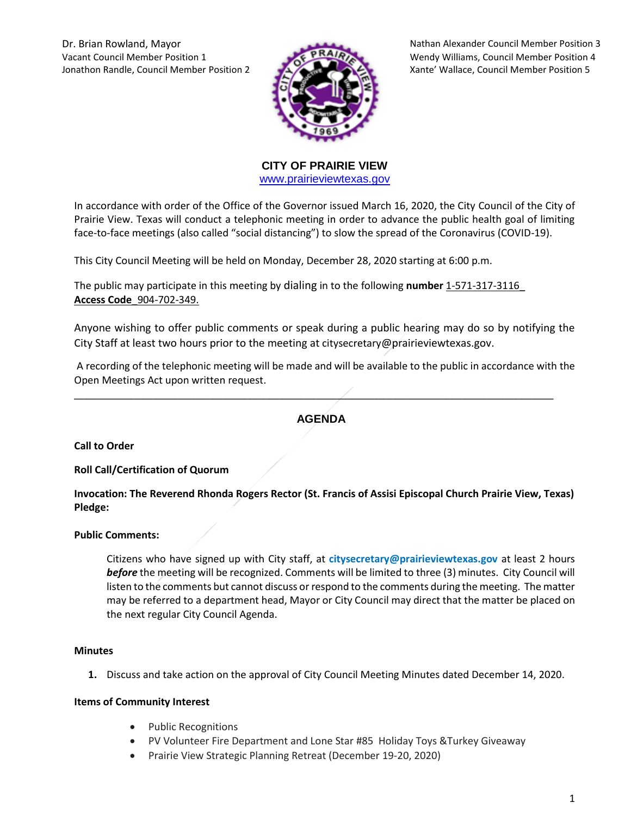Vacant Council Member Position 1 Wendy Williams, Council Member Position 4 Jonathon Randle, Council Member Position 2 Xante' Wallace, Council Member Position 5



Dr. Brian Rowland, Mayor Nathan Alexander Council Member Position 3

**CITY OF PRAIRIE VIEW**  [www.prairieviewtexas.gov](http://www.prairieviewtexas.gov/)

In accordance with order of the Office of the Governor issued March 16, 2020, the City Council of the City of Prairie View. Texas will conduct a telephonic meeting in order to advance the public health goal of limiting face-to-face meetings (also called "social distancing") to slow the spread of the Coronavirus (COVID-19).

This City Council Meeting will be held on Monday, December 28, 2020 starting at 6:00 p.m.

The public may participate in this meeting by dialing in to the following **number** 1-571-317-3116\_ **Access Code**\_904-702-349.

Anyone wishing to offer public comments or speak during a public hearing may do so by notifying the City Staff at least two hours prior to the meeting at citysecretary@prairieviewtexas.gov.

A recording of the telephonic meeting will be made and will be available to the public in accordance with the Open Meetings Act upon written request.

# **AGENDA**

\_\_\_\_\_\_\_\_\_\_\_\_\_\_\_\_\_\_\_\_\_\_\_\_\_\_\_\_\_\_\_\_\_\_\_\_\_\_\_\_\_\_\_\_\_\_\_\_\_\_\_\_\_\_\_\_\_\_\_\_\_\_\_\_\_\_\_\_\_\_\_\_\_\_\_\_

**Call to Order**

**Roll Call/Certification of Quorum**

**Invocation: The Reverend Rhonda Rogers Rector (St. Francis of Assisi Episcopal Church Prairie View, Texas) Pledge:** 

### **Public Comments:**

Citizens who have signed up with City staff, at **citysecretary@prairieviewtexas.gov** at least 2 hours *before* the meeting will be recognized. Comments will be limited to three (3) minutes. City Council will listen to the comments but cannot discuss or respond to the comments during the meeting. The matter may be referred to a department head, Mayor or City Council may direct that the matter be placed on the next regular City Council Agenda.

### **Minutes**

**1.** Discuss and take action on the approval of City Council Meeting Minutes dated December 14, 2020.

### **Items of Community Interest**

- Public Recognitions
- PV Volunteer Fire Department and Lone Star #85 Holiday Toys &Turkey Giveaway
- Prairie View Strategic Planning Retreat (December 19-20, 2020)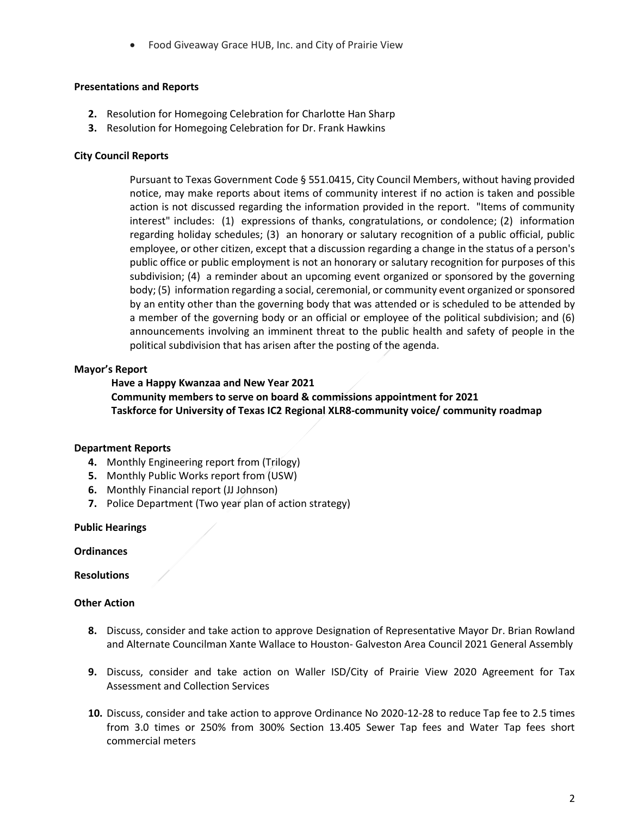Food Giveaway Grace HUB, Inc. and City of Prairie View

### **Presentations and Reports**

- **2.** Resolution for Homegoing Celebration for Charlotte Han Sharp
- **3.** Resolution for Homegoing Celebration for Dr. Frank Hawkins

## **City Council Reports**

Pursuant to Texas Government Code § 551.0415, City Council Members, without having provided notice, may make reports about items of community interest if no action is taken and possible action is not discussed regarding the information provided in the report. "Items of community interest" includes: (1) expressions of thanks, congratulations, or condolence; (2) information regarding holiday schedules; (3) an honorary or salutary recognition of a public official, public employee, or other citizen, except that a discussion regarding a change in the status of a person's public office or public employment is not an honorary or salutary recognition for purposes of this subdivision; (4) a reminder about an upcoming event organized or sponsored by the governing body; (5) information regarding a social, ceremonial, or community event organized or sponsored by an entity other than the governing body that was attended or is scheduled to be attended by a member of the governing body or an official or employee of the political subdivision; and (6) announcements involving an imminent threat to the public health and safety of people in the political subdivision that has arisen after the posting of the agenda.

### **Mayor's Report**

## **Have a Happy Kwanzaa and New Year 2021 Community members to serve on board & commissions appointment for 2021 Taskforce for University of Texas IC2 Regional XLR8-community voice/ community roadmap**

### **Department Reports**

- **4.** Monthly Engineering report from (Trilogy)
- **5.** Monthly Public Works report from (USW)
- **6.** Monthly Financial report (JJ Johnson)
- **7.** Police Department (Two year plan of action strategy)

**Public Hearings**

**Ordinances**

### **Resolutions**

### **Other Action**

- **8.** Discuss, consider and take action to approve Designation of Representative Mayor Dr. Brian Rowland and Alternate Councilman Xante Wallace to Houston- Galveston Area Council 2021 General Assembly
- **9.** Discuss, consider and take action on Waller ISD/City of Prairie View 2020 Agreement for Tax Assessment and Collection Services
- **10.** Discuss, consider and take action to approve Ordinance No 2020-12-28 to reduce Tap fee to 2.5 times from 3.0 times or 250% from 300% Section 13.405 Sewer Tap fees and Water Tap fees short commercial meters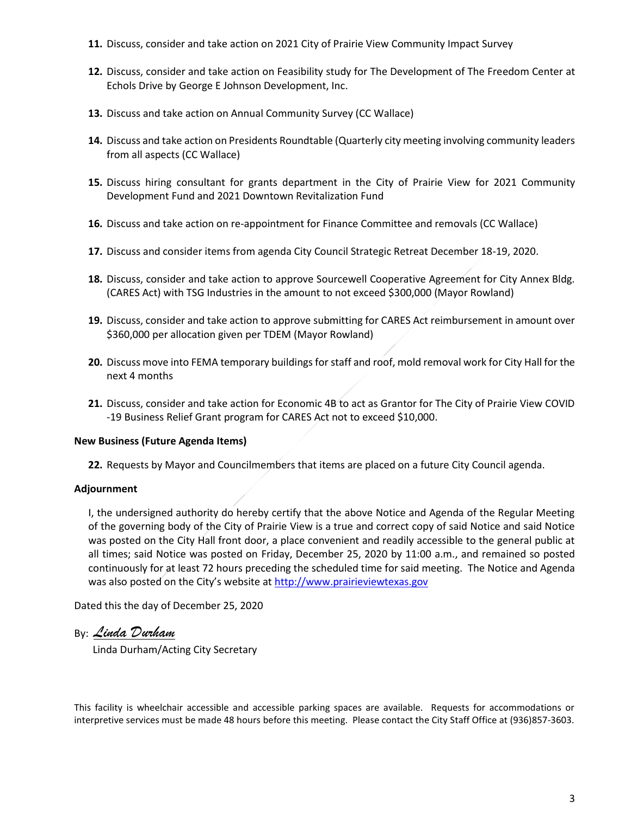- **11.** Discuss, consider and take action on 2021 City of Prairie View Community Impact Survey
- **12.** Discuss, consider and take action on Feasibility study for The Development of The Freedom Center at Echols Drive by George E Johnson Development, Inc.
- **13.** Discuss and take action on Annual Community Survey (CC Wallace)
- **14.** Discuss and take action on Presidents Roundtable (Quarterly city meeting involving community leaders from all aspects (CC Wallace)
- **15.** Discuss hiring consultant for grants department in the City of Prairie View for 2021 Community Development Fund and 2021 Downtown Revitalization Fund
- **16.** Discuss and take action on re-appointment for Finance Committee and removals (CC Wallace)
- **17.** Discuss and consider items from agenda City Council Strategic Retreat December 18-19, 2020.
- **18.** Discuss, consider and take action to approve Sourcewell Cooperative Agreement for City Annex Bldg. (CARES Act) with TSG Industries in the amount to not exceed \$300,000 (Mayor Rowland)
- **19.** Discuss, consider and take action to approve submitting for CARES Act reimbursement in amount over \$360,000 per allocation given per TDEM (Mayor Rowland)
- **20.** Discuss move into FEMA temporary buildings for staff and roof, mold removal work for City Hall for the next 4 months
- **21.** Discuss, consider and take action for Economic 4B to act as Grantor for The City of Prairie View COVID -19 Business Relief Grant program for CARES Act not to exceed \$10,000.

### **New Business (Future Agenda Items)**

**22.** Requests by Mayor and Councilmembers that items are placed on a future City Council agenda.

# **Adjournment**

I, the undersigned authority do hereby certify that the above Notice and Agenda of the Regular Meeting of the governing body of the City of Prairie View is a true and correct copy of said Notice and said Notice was posted on the City Hall front door, a place convenient and readily accessible to the general public at all times; said Notice was posted on Friday, December 25, 2020 by 11:00 a.m., and remained so posted continuously for at least 72 hours preceding the scheduled time for said meeting. The Notice and Agenda was also posted on the City's website at [http://www.prairieviewtexas.gov](http://www.prairieviewtexas.gov/)

Dated this the day of December 25, 2020

By: *Linda Durham*

Linda Durham/Acting City Secretary

This facility is wheelchair accessible and accessible parking spaces are available. Requests for accommodations or interpretive services must be made 48 hours before this meeting. Please contact the City Staff Office at (936)857-3603.